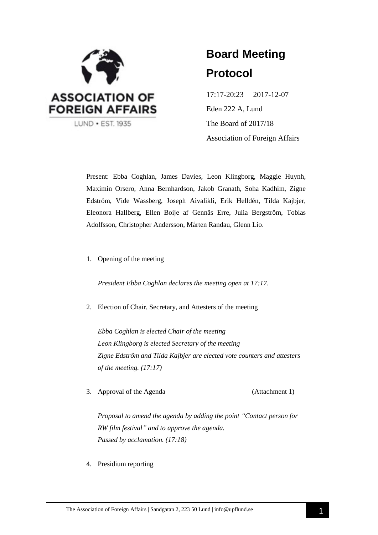

# **Board Meeting Protocol**

17:17-20:23 2017-12-07 Eden 222 A, Lund The Board of 2017/18 Association of Foreign Affairs

Present: Ebba Coghlan, James Davies, Leon Klingborg, Maggie Huynh, Maximin Orsero, Anna Bernhardson, Jakob Granath, Soha Kadhim, Zigne Edström, Vide Wassberg, Joseph Aivalikli, Erik Helldén, Tilda Kajbjer, Eleonora Hallberg, Ellen Boije af Gennäs Erre, Julia Bergström, Tobias Adolfsson, Christopher Andersson, Mårten Randau, Glenn Lio.

1. Opening of the meeting

*President Ebba Coghlan declares the meeting open at 17:17.*

2. Election of Chair, Secretary, and Attesters of the meeting

*Ebba Coghlan is elected Chair of the meeting Leon Klingborg is elected Secretary of the meeting Zigne Edström and Tilda Kajbjer are elected vote counters and attesters of the meeting. (17:17)*

3. Approval of the Agenda (Attachment 1)

*Proposal to amend the agenda by adding the point "Contact person for RW film festival" and to approve the agenda. Passed by acclamation. (17:18)*

4. Presidium reporting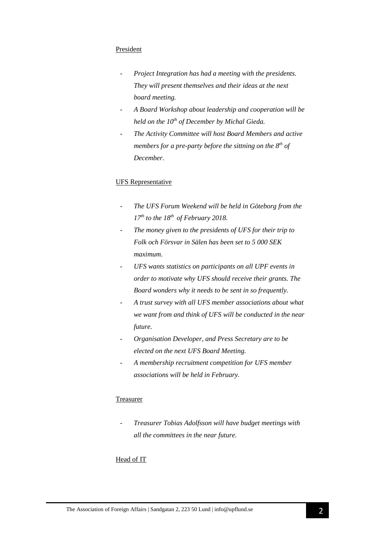### President

- *- Project Integration has had a meeting with the presidents. They will present themselves and their ideas at the next board meeting.*
- *- A Board Workshop about leadership and cooperation will be held on the 10th of December by Michal Gieda.*
- *- The Activity Committee will host Board Members and active members for a pre-party before the sittning on the 8th of December.*

### UFS Representative

- *The UFS Forum Weekend will be held in Göteborg from the 17th to the 18th of February 2018.*
- *The money given to the presidents of UFS for their trip to Folk och Försvar in Sälen has been set to 5 000 SEK maximum.*
- UFS wants statistics on participants on all UPF events in *order to motivate why UFS should receive their grants. The Board wonders why it needs to be sent in so frequently.*
- *A trust survey with all UFS member associations about what we want from and think of UFS will be conducted in the near future.*
- *Organisation Developer, and Press Secretary are to be elected on the next UFS Board Meeting.*
- *A membership recruitment competition for UFS member associations will be held in February.*

### Treasurer

- *Treasurer Tobias Adolfsson will have budget meetings with all the committees in the near future.*

### Head of IT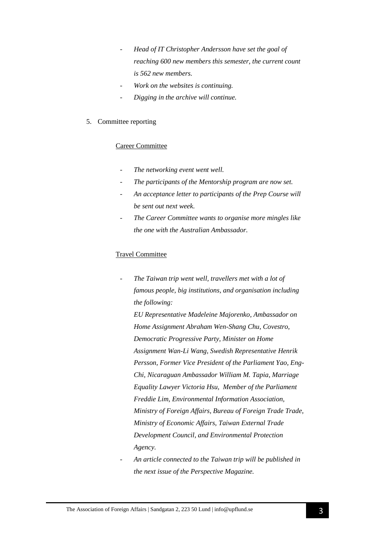- *Head of IT Christopher Andersson have set the goal of reaching 600 new members this semester, the current count is 562 new members.*
- *Work on the websites is continuing.*
- *Digging in the archive will continue.*

### 5. Committee reporting

### Career Committee

- The networking event went well.
- The participants of the Mentorship program are now set.
- *An acceptance letter to participants of the Prep Course will be sent out next week.*
- *The Career Committee wants to organise more mingles like the one with the Australian Ambassador.*

### Travel Committee

*- The Taiwan trip went well, travellers met with a lot of famous people, big institutions, and organisation including the following:* 

*EU Representative Madeleine Majorenko, Ambassador on Home Assignment Abraham Wen-Shang Chu, Covestro, Democratic Progressive Party, Minister on Home Assignment Wan-Li Wang, Swedish Representative Henrik Persson, Former Vice President of the Parliament Yao, Eng-Chi, Nicaraguan Ambassador William M. Tapia, Marriage Equality Lawyer Victoria Hsu, Member of the Parliament Freddie Lim, Environmental Information Association, Ministry of Foreign Affairs, Bureau of Foreign Trade Trade, Ministry of Economic Affairs, Taiwan External Trade Development Council, and Environmental Protection Agency.*

- *An article connected to the Taiwan trip will be published in the next issue of the Perspective Magazine.*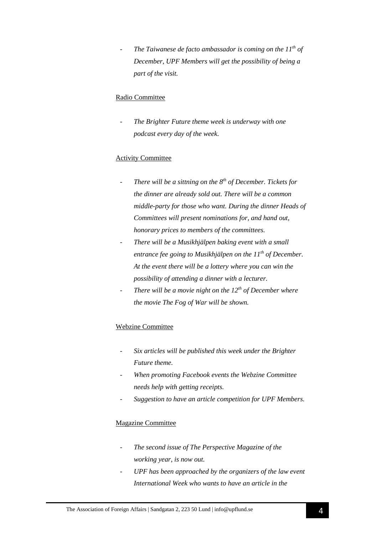- *The Taiwanese de facto ambassador is coming on the 11th of December, UPF Members will get the possibility of being a part of the visit.*

### Radio Committee

The Brighter Future theme week is underway with one *podcast every day of the week.*

### Activity Committee

- *There will be a sittning on the 8th of December. Tickets for the dinner are already sold out. There will be a common middle-party for those who want. During the dinner Heads of Committees will present nominations for, and hand out, honorary prices to members of the committees.*
- *There will be a Musikhjälpen baking event with a small entrance fee going to Musikhjälpen on the 11th of December. At the event there will be a lottery where you can win the possibility of attending a dinner with a lecturer.*
- *There will be a movie night on the 12th of December where the movie The Fog of War will be shown.*

### Webzine Committee

- *Six articles will be published this week under the Brighter Future theme.*
- *When promoting Facebook events the Webzine Committee needs help with getting receipts.*
- *Suggestion to have an article competition for UPF Members.*

### Magazine Committee

- *The second issue of The Perspective Magazine of the working year, is now out.*
- *UPF has been approached by the organizers of the law event International Week who wants to have an article in the*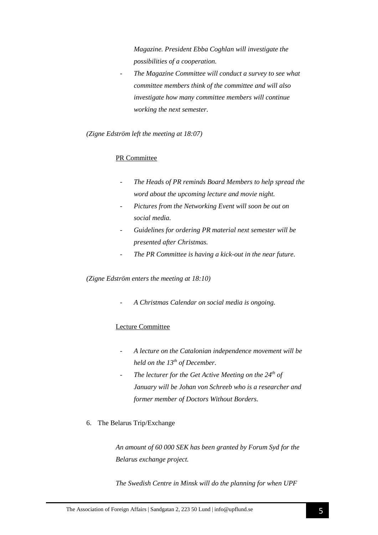*Magazine. President Ebba Coghlan will investigate the possibilities of a cooperation.*

- *The Magazine Committee will conduct a survey to see what committee members think of the committee and will also investigate how many committee members will continue working the next semester.*

*(Zigne Edström left the meeting at 18:07)* 

### PR Committee

- *The Heads of PR reminds Board Members to help spread the word about the upcoming lecture and movie night.*
- Pictures from the Networking Event will soon be out on *social media.*
- *Guidelines for ordering PR material next semester will be presented after Christmas.*
- *The PR Committee is having a kick-out in the near future.*

*(Zigne Edström enters the meeting at 18:10)*

- *A Christmas Calendar on social media is ongoing.*

### Lecture Committee

- *A lecture on the Catalonian independence movement will be held on the 13th of December.*
- *The lecturer for the Get Active Meeting on the 24th of January will be Johan von Schreeb who is a researcher and former member of Doctors Without Borders.*
- 6. The Belarus Trip/Exchange

*An amount of 60 000 SEK has been granted by Forum Syd for the Belarus exchange project.*

*The Swedish Centre in Minsk will do the planning for when UPF*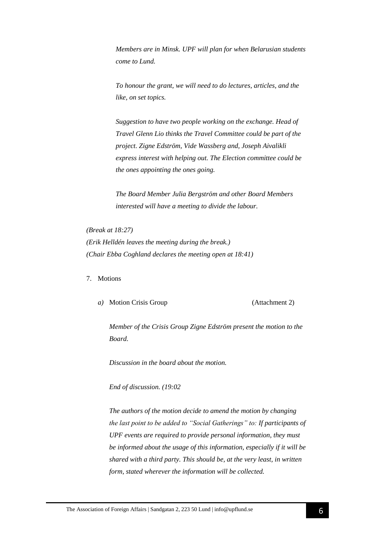*Members are in Minsk. UPF will plan for when Belarusian students come to Lund.* 

*To honour the grant, we will need to do lectures, articles, and the like, on set topics.*

*Suggestion to have two people working on the exchange. Head of Travel Glenn Lio thinks the Travel Committee could be part of the project. Zigne Edström, Vide Wassberg and, Joseph Aivalikli express interest with helping out. The Election committee could be the ones appointing the ones going.*

*The Board Member Julia Bergström and other Board Members interested will have a meeting to divide the labour.*

*(Break at 18:27) (Erik Helldén leaves the meeting during the break.) (Chair Ebba Coghland declares the meeting open at 18:41)*

7. Motions

*a*) Motion Crisis Group (Attachment 2)

*Member of the Crisis Group Zigne Edström present the motion to the Board.*

*Discussion in the board about the motion.*

*End of discussion. (19:02*

*The authors of the motion decide to amend the motion by changing the last point to be added to "Social Gatherings" to: If participants of UPF events are required to provide personal information, they must be informed about the usage of this information, especially if it will be shared with a third party. This should be, at the very least, in written form, stated wherever the information will be collected.*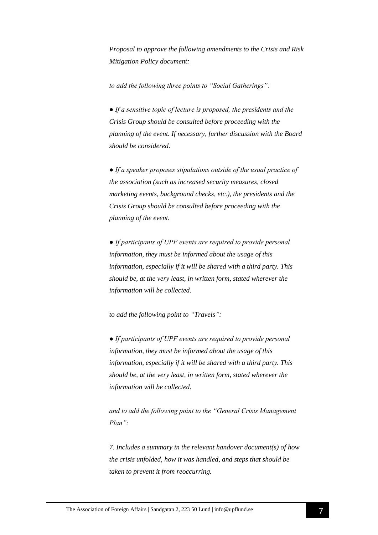*Proposal to approve the following amendments to the Crisis and Risk Mitigation Policy document:* 

*to add the following three points to "Social Gatherings":* 

*● If a sensitive topic of lecture is proposed, the presidents and the Crisis Group should be consulted before proceeding with the planning of the event. If necessary, further discussion with the Board should be considered.* 

*● If a speaker proposes stipulations outside of the usual practice of the association (such as increased security measures, closed marketing events, background checks, etc.), the presidents and the Crisis Group should be consulted before proceeding with the planning of the event.* 

*● If participants of UPF events are required to provide personal information, they must be informed about the usage of this information, especially if it will be shared with a third party. This should be, at the very least, in written form, stated wherever the information will be collected.*

*to add the following point to "Travels":*

*● If participants of UPF events are required to provide personal information, they must be informed about the usage of this information, especially if it will be shared with a third party. This should be, at the very least, in written form, stated wherever the information will be collected.*

*and to add the following point to the "General Crisis Management Plan":* 

*7. Includes a summary in the relevant handover document(s) of how the crisis unfolded, how it was handled, and steps that should be taken to prevent it from reoccurring.*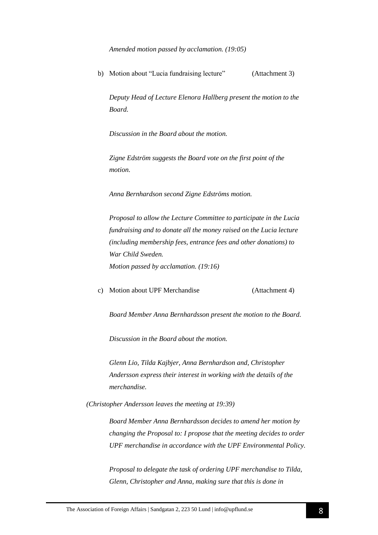*Amended motion passed by acclamation. (19:05)*

b) Motion about "Lucia fundraising lecture" (Attachment 3)

*Deputy Head of Lecture Elenora Hallberg present the motion to the Board.*

*Discussion in the Board about the motion.*

*Zigne Edström suggests the Board vote on the first point of the motion.*

*Anna Bernhardson second Zigne Edströms motion.*

*Proposal to allow the Lecture Committee to participate in the Lucia fundraising and to donate all the money raised on the Lucia lecture (including membership fees, entrance fees and other donations) to War Child Sweden. Motion passed by acclamation. (19:16)*

c) Motion about UPF Merchandise (Attachment 4)

*Board Member Anna Bernhardsson present the motion to the Board.*

*Discussion in the Board about the motion.*

*Glenn Lio, Tilda Kajbjer, Anna Bernhardson and, Christopher Andersson express their interest in working with the details of the merchandise.*

*(Christopher Andersson leaves the meeting at 19:39)*

*Board Member Anna Bernhardsson decides to amend her motion by changing the Proposal to: I propose that the meeting decides to order UPF merchandise in accordance with the UPF Environmental Policy.*

*Proposal to delegate the task of ordering UPF merchandise to Tilda, Glenn, Christopher and Anna, making sure that this is done in*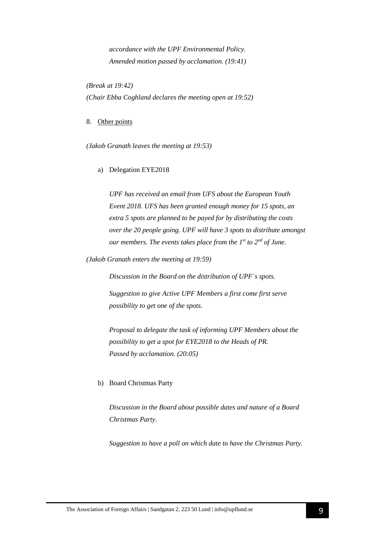*accordance with the UPF Environmental Policy. Amended motion passed by acclamation. (19:41)*

*(Break at 19:42) (Chair Ebba Coghland declares the meeting open at 19:52)*

### 8. Other points

*(Jakob Granath leaves the meeting at 19:53)*

### a) Delegation EYE2018

*UPF has received an email from UFS about the European Youth Event 2018. UFS has been granted enough money for 15 spots, an extra 5 spots are planned to be payed for by distributing the costs over the 20 people going. UPF will have 3 spots to distribute amongst our members. The events takes place from the 1 st to 2nd of June.*

*(Jakob Granath enters the meeting at 19:59)*

*Discussion in the Board on the distribution of UPF´s spots.* 

*Suggestion to give Active UPF Members a first come first serve possibility to get one of the spots.* 

*Proposal to delegate the task of informing UPF Members about the possibility to get a spot for EYE2018 to the Heads of PR. Passed by acclamation. (20:05)*

### b) Board Christmas Party

*Discussion in the Board about possible dates and nature of a Board Christmas Party.*

*Suggestion to have a poll on which date to have the Christmas Party.*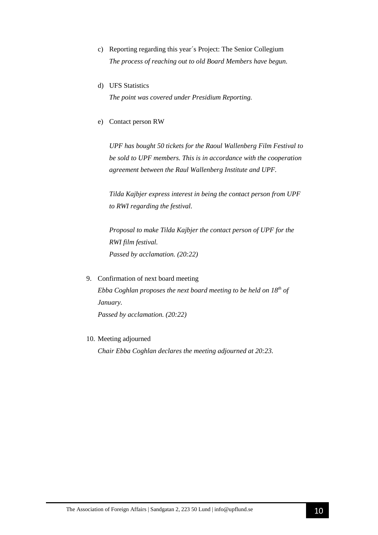- c) Reporting regarding this year´s Project: The Senior Collegium *The process of reaching out to old Board Members have begun.*
- d) UFS Statistics

*The point was covered under Presidium Reporting.*

e) Contact person RW

*UPF has bought 50 tickets for the Raoul Wallenberg Film Festival to be sold to UPF members. This is in accordance with the cooperation agreement between the Raul Wallenberg Institute and UPF.*

*Tilda Kajbjer express interest in being the contact person from UPF to RWI regarding the festival.*

*Proposal to make Tilda Kajbjer the contact person of UPF for the RWI film festival. Passed by acclamation. (20:22)*

- 9. Confirmation of next board meeting *Ebba Coghlan proposes the next board meeting to be held on 18th of January. Passed by acclamation. (20:22)*
- 10. Meeting adjourned

*Chair Ebba Coghlan declares the meeting adjourned at 20:23.*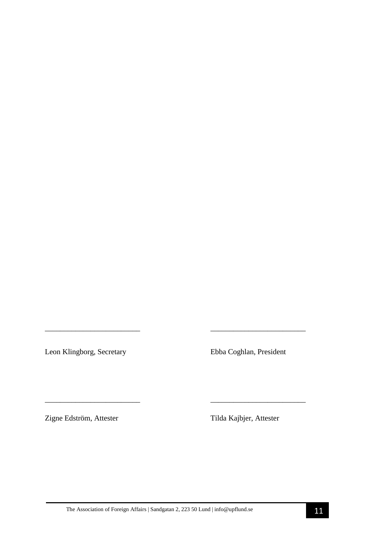Leon Klingborg, Secretary Ebba Coghlan, President

Zigne Edström, Attester Tilda Kajbjer, Attester

*\_\_\_\_\_\_\_\_\_\_\_\_\_\_\_\_\_\_\_\_\_\_\_\_\_ \_\_\_\_\_\_\_\_\_\_\_\_\_\_\_\_\_\_\_\_\_\_\_\_\_* 

\_\_\_\_\_\_\_\_\_\_\_\_\_\_\_\_\_\_\_\_\_\_\_\_\_ \_\_\_\_\_\_\_\_\_\_\_\_\_\_\_\_\_\_\_\_\_\_\_\_\_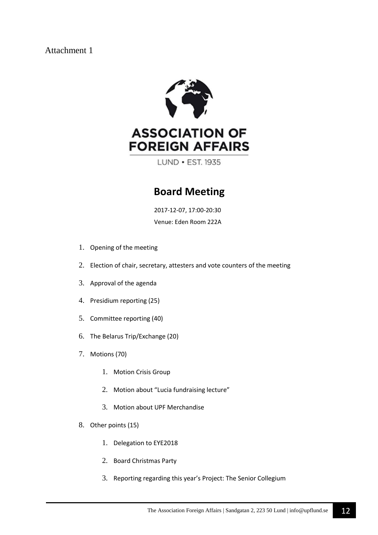## Attachment 1



LUND • EST. 1935

# **Board Meeting**

 2017-12-07, 17:00-20:30 Venue: Eden Room 222A

- 1. Opening of the meeting
- 2. Election of chair, secretary, attesters and vote counters of the meeting
- 3. Approval of the agenda
- 4. Presidium reporting (25)
- 5. Committee reporting (40)
- 6. The Belarus Trip/Exchange (20)
- 7. Motions (70)
	- 1. Motion Crisis Group
	- 2. Motion about "Lucia fundraising lecture"
	- 3. Motion about UPF Merchandise
- 8. Other points (15)
	- 1. Delegation to EYE2018
	- 2. Board Christmas Party
	- 3. Reporting regarding this year's Project: The Senior Collegium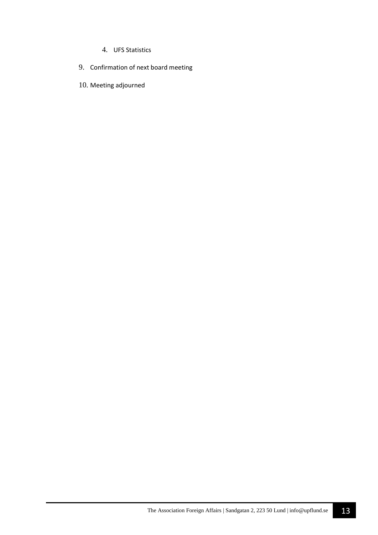- 4. UFS Statistics
- 9. Confirmation of next board meeting
- 10. Meeting adjourned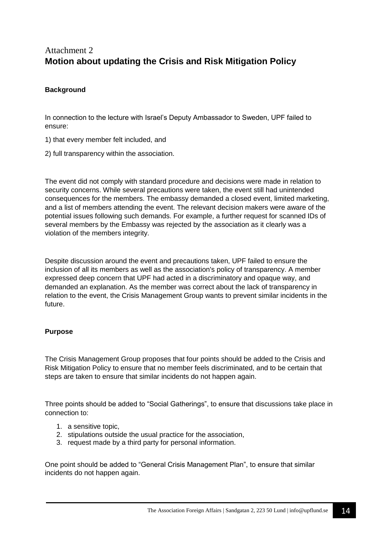# Attachment 2 **Motion about updating the Crisis and Risk Mitigation Policy**

### **Background**

In connection to the lecture with Israel's Deputy Ambassador to Sweden, UPF failed to ensure:

- 1) that every member felt included, and
- 2) full transparency within the association.

The event did not comply with standard procedure and decisions were made in relation to security concerns. While several precautions were taken, the event still had unintended consequences for the members. The embassy demanded a closed event, limited marketing, and a list of members attending the event. The relevant decision makers were aware of the potential issues following such demands. For example, a further request for scanned IDs of several members by the Embassy was rejected by the association as it clearly was a violation of the members integrity.

Despite discussion around the event and precautions taken, UPF failed to ensure the inclusion of all its members as well as the association's policy of transparency. A member expressed deep concern that UPF had acted in a discriminatory and opaque way, and demanded an explanation. As the member was correct about the lack of transparency in relation to the event, the Crisis Management Group wants to prevent similar incidents in the future.

### **Purpose**

The Crisis Management Group proposes that four points should be added to the Crisis and Risk Mitigation Policy to ensure that no member feels discriminated, and to be certain that steps are taken to ensure that similar incidents do not happen again.

Three points should be added to "Social Gatherings", to ensure that discussions take place in connection to:

- 1. a sensitive topic,
- 2. stipulations outside the usual practice for the association,
- 3. request made by a third party for personal information.

One point should be added to "General Crisis Management Plan", to ensure that similar incidents do not happen again.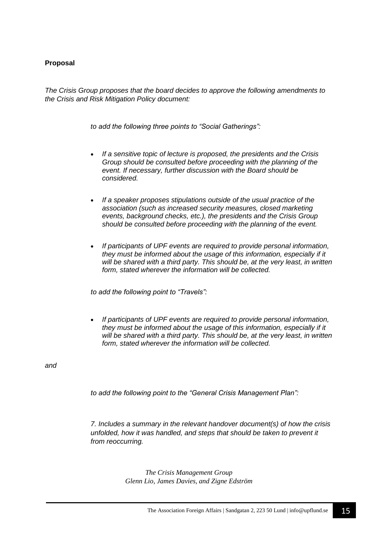### **Proposal**

*The Crisis Group proposes that the board decides to approve the following amendments to the Crisis and Risk Mitigation Policy document:*

*to add the following three points to "Social Gatherings":*

- *If a sensitive topic of lecture is proposed, the presidents and the Crisis Group should be consulted before proceeding with the planning of the event. If necessary, further discussion with the Board should be considered.*
- *If a speaker proposes stipulations outside of the usual practice of the association (such as increased security measures, closed marketing events, background checks, etc.), the presidents and the Crisis Group should be consulted before proceeding with the planning of the event.*
- *If participants of UPF events are required to provide personal information, they must be informed about the usage of this information, especially if it will be shared with a third party. This should be, at the very least, in written form, stated wherever the information will be collected.*

*to add the following point to "Travels":*

• *If participants of UPF events are required to provide personal information,*  they must be informed about the usage of this information, especially if it *will be shared with a third party. This should be, at the very least, in written form, stated wherever the information will be collected.*

*and*

*to add the following point to the "General Crisis Management Plan":*

*7. Includes a summary in the relevant handover document(s) of how the crisis unfolded, how it was handled, and steps that should be taken to prevent it from reoccurring.*

> *The Crisis Management Group Glenn Lio, James Davies, and Zigne Edström*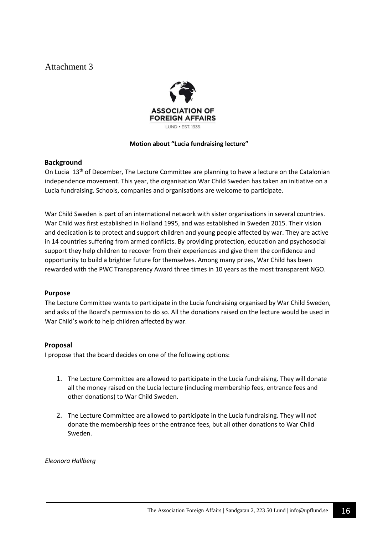# Attachment 3



### **Motion about "Lucia fundraising lecture"**

### **Background**

On Lucia  $13<sup>th</sup>$  of December, The Lecture Committee are planning to have a lecture on the Catalonian independence movement. This year, the organisation War Child Sweden has taken an initiative on a Lucia fundraising. Schools, companies and organisations are welcome to participate.

War Child Sweden is part of an international network with sister organisations in several countries. War Child was first established in Holland 1995, and was established in Sweden 2015. Their vision and dedication is to protect and support children and young people affected by war. They are active in 14 countries suffering from armed conflicts. By providing protection, education and psychosocial support they help children to recover from their experiences and give them the confidence and opportunity to build a brighter future for themselves. Among many prizes, War Child has been rewarded with the PWC Transparency Award three times in 10 years as the most transparent NGO.

### **Purpose**

The Lecture Committee wants to participate in the Lucia fundraising organised by War Child Sweden, and asks of the Board's permission to do so. All the donations raised on the lecture would be used in War Child's work to help children affected by war.

### **Proposal**

I propose that the board decides on one of the following options:

- 1. The Lecture Committee are allowed to participate in the Lucia fundraising. They will donate all the money raised on the Lucia lecture (including membership fees, entrance fees and other donations) to War Child Sweden.
- 2. The Lecture Committee are allowed to participate in the Lucia fundraising. They will *not* donate the membership fees or the entrance fees, but all other donations to War Child Sweden.

*Eleonora Hallberg*